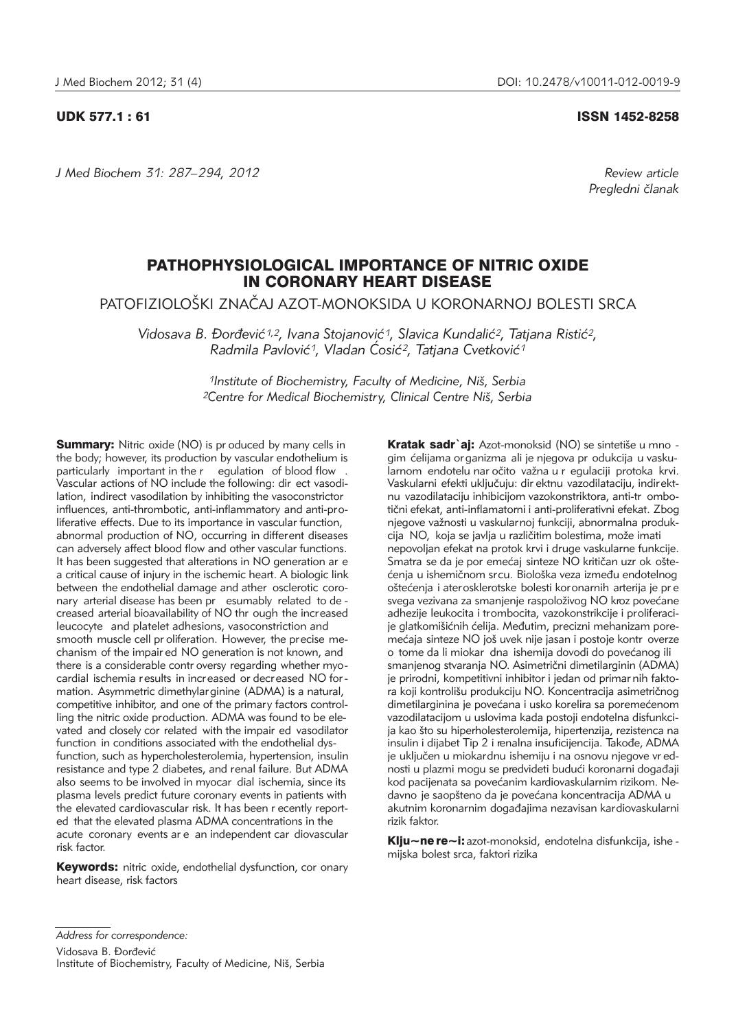*J Med Biochem 31: 287–294, 2012 Review article*

UDK 577.1 : 61 ISSN 1452-8258

*Pregledni ~lanak*

# PATHOPHYSIOLOGICAL IMPORTANCE OF NITRIC OXIDE IN CORONARY HEART DISEASE

PATOFIZIOLOŠKI ZNAČAJ AZOT-MONOKSIDA U KORONARNOJ BOLESTI SRCA

Vidosava B. Đorđević<sup>1,2</sup>, Ivana Stojanović<sup>1</sup>, Slavica Kundalić<sup>2</sup>, Tatjana Ristić<sup>2</sup>, *Radmila Pavlović<sup>1</sup>, Vladan Ćosić<sup>2</sup>, Tatjana Cvetković<sup>1</sup>* 

> <sup>1</sup>Institute of Biochemistry, Faculty of Medicine, Niš, Serbia *2Centre for Medical Biochemistry, Clinical Centre Ni{, Serbia*

**Summary:** Nitric oxide (NO) is pr oduced by many cells in the body; however, its production by vascular endothelium is particularly important in the r egulation of blood flow . Vascular actions of NO include the following: dir ect vasodilation, indirect vasodilation by inhibiting the vasoconstrictor influences, anti-thrombotic, anti-inflammatory and anti-proliferative effects. Due to its importance in vascular function, abnormal production of NO, occurring in different diseases can adversely affect blood flow and other vascular functions. It has been suggested that alterations in NO generation ar e a critical cause of injury in the ischemic heart. A biologic link between the endothelial damage and ather osclerotic coronary arterial disease has been pr esumably related to de creased arterial bioavailability of NO thr ough the increased leucocyte and platelet adhesions, vasoconstriction and smooth muscle cell pr oliferation. However, the precise mechanism of the impair ed NO generation is not known, and there is a considerable contr oversy regarding whether myo cardial ischemia results in increased or decreased NO for mation. Asymmetric dimethylarginine (ADMA) is a natural, competitive inhibitor, and one of the primary factors controlling the nitric oxide production. ADMA was found to be elevated and closely cor related with the impair ed vasodilator function in conditions associated with the endothelial dysfunction, such as hypercholesterolemia, hypertension, insulin resistance and type 2 diabetes, and renal failure. But ADMA also seems to be involved in myocar dial ischemia, since its plasma levels predict future coronary events in patients with the elevated cardiovascular risk. It has been r ecently reported that the elevated plasma ADMA concentrations in the acute coronary events ar e an independent car diovascular risk factor.

Keywords: nitric oxide, endothelial dysfunction, cor onary heart disease, risk factors

Kratak sadr`aj: Azot-monoksid (NO) se sintetiše u mno gim ćelijama organizma ali je njegova pr odukcija u vaskularnom endotelu nar očito važna u r egulaciji protoka krvi. Vaskularni efekti uključuju: dir ektnu vazodilataciju, indirektnu vazodilataciju inhibicijom vazokonstriktora, anti-tr ombotični efekat, anti-inflamatorni i anti-proliferativni efekat. Zbog njegove važnosti u vaskularnoj funkciji, abnormalna produkcija NO, koja se javlja u različitim bolestima, može imati nepovoljan efekat na protok krvi i druge vaskularne funkcije. Smatra se da je por emećaj sinteze NO kritičan uzr ok oštećenja u ishemičnom srcu. Biološka veza između endotelnog oštećenja i aterosklerotske bolesti koronarnih arterija je pre svega vezivana za smanjenje raspoloživog NO kroz povećane adhezije leukocita i trombocita, vazokonstrikcije i proliferacije glatkomišićnih ćelija. Međutim, precizni mehanizam poremećaja sinteze NO još uvek nije jasan i postoje kontr overze o tome da li miokar dna ishemija dovodi do povećanog ili smanjenog stvaranja NO. Asimetrični dimetilarginin (ADMA) je prirodni, kompetitivni inhibitor i jedan od primar nih faktora koji kontrolišu produkciju NO. Koncentracija asimetričnog dimetilarginina je povećana i usko korelira sa poremećenom vazodilatacijom u uslovima kada postoji endotelna disfunkcija kao što su hiperholesterolemija, hipertenzija, rezistenca na insulin i dijabet Tip 2 i renalna insuficijencija. Takođe, ADMA je uključen u miokardnu ishemiju i na osnovu njegove vr ednosti u plazmi mogu se predvideti budući koronarni događaji kod pacijenata sa povećanim kardiovaskularnim rizikom. Nedavno je saopšteno da je povećana koncentracija ADMA u akutnim koronarnim događajima nezavisan kardiovaskularni rizik faktor.

Klju~ne re~i: azot-monoksid, endotelna disfunkcija, ishe mijska bolest srca, faktori rizika

*Address for correspondence:*

Vidosava B. Đorđević Institute of Biochemistry, Faculty of Medicine, Niš, Serbia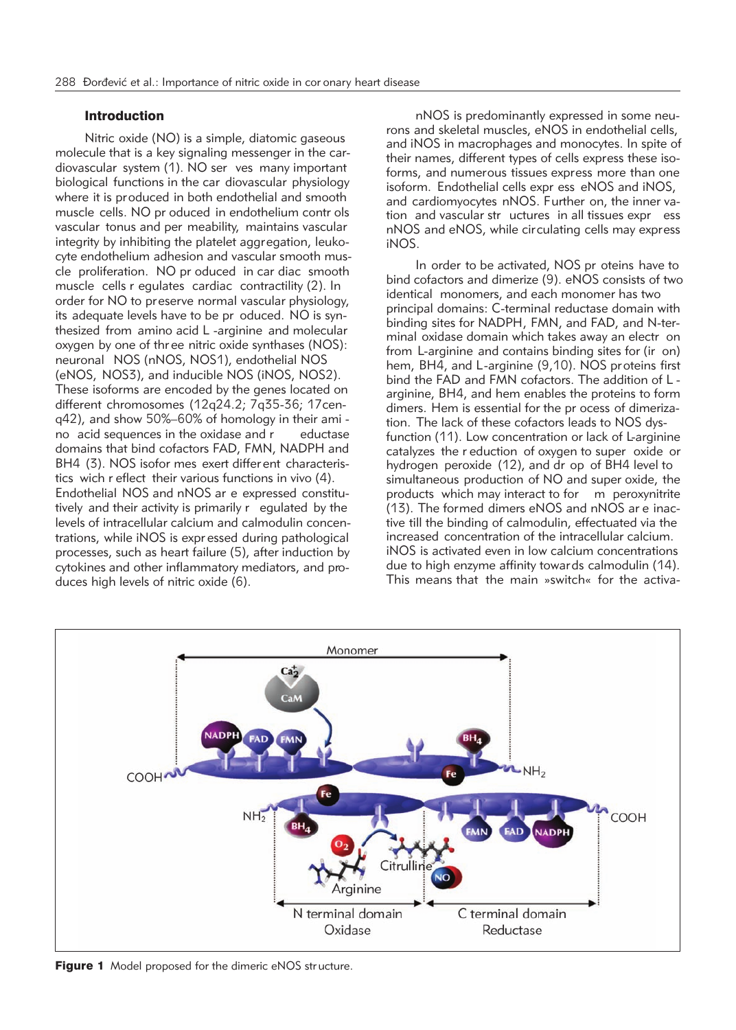## Introduction

Nitric oxide (NO) is a simple, diatomic gaseous molecule that is a key signaling messenger in the cardiovascular system (1). NO ser ves many important biological functions in the car diovascular physiology where it is produced in both endothelial and smooth muscle cells. NO pr oduced in endothelium contr ols vascular tonus and per meability, maintains vascular integrity by inhibiting the platelet aggregation, leukocyte endothelium adhesion and vascular smooth muscle proliferation. NO pr oduced in car diac smooth muscle cells r egulates cardiac contractility (2). In order for NO to preserve normal vascular physiology, its adequate levels have to be pr oduced. NO is synthesized from amino acid L -arginine and molecular oxygen by one of thr ee nitric oxide synthases (NOS): neuronal NOS (nNOS, NOS1), endothelial NOS (eNOS, NOS3), and inducible NOS (iNOS, NOS2). These isoforms are encoded by the genes located on different chromosomes (12q24.2; 7q35-36; 17cenq42), and show 50%–60% of homology in their ami no acid sequences in the oxidase and r eductase domains that bind cofactors FAD, FMN, NADPH and BH4 (3). NOS isofor mes exert differ ent characteristics wich r eflect their various functions in vivo (4). Endothelial NOS and nNOS ar e expressed constitutively and their activity is primarily r egulated by the levels of intracellular calcium and calmodulin concentrations, while iNOS is expr essed during pathological processes, such as heart failure (5), after induction by cytokines and other inflammatory mediators, and produces high levels of nitric oxide (6).

nNOS is predominantly expressed in some neurons and skeletal muscles, eNOS in endothelial cells, and iNOS in macrophages and monocytes. In spite of their names, different types of cells express these isoforms, and numerous tissues express more than one isoform. Endothelial cells expr ess eNOS and iNOS, and cardiomyocytes nNOS. Further on, the inner vation and vascular str uctures in all tissues expr ess nNOS and eNOS, while circulating cells may express iNOS.

In order to be activated, NOS pr oteins have to bind cofactors and dimerize (9). eNOS consists of two identical monomers, and each monomer has two principal domains: C-terminal reductase domain with binding sites for NADPH, FMN, and FAD, and N-terminal oxidase domain which takes away an electr on from L-arginine and contains binding sites for (ir on) hem, BH4, and L-arginine (9,10). NOS proteins first bind the FAD and FMN cofactors. The addition of L arginine, BH4, and hem enables the proteins to form dimers. Hem is essential for the pr ocess of dimerization. The lack of these cofactors leads to NOS dysfunction (11). Low concentration or lack of L-arginine catalyzes the r eduction of oxygen to super oxide or hydrogen peroxide (12), and dr op of BH4 level to simultaneous production of NO and super oxide, the products which may interact to for m peroxynitrite (13). The formed dimers eNOS and nNOS ar e inactive till the binding of calmodulin, effectuated via the increased concentration of the intracellular calcium. iNOS is activated even in low calcium concentrations due to high enzyme affinity towards calmodulin (14). This means that the main »switch« for the activa-



**Figure 1** Model proposed for the dimeric eNOS structure.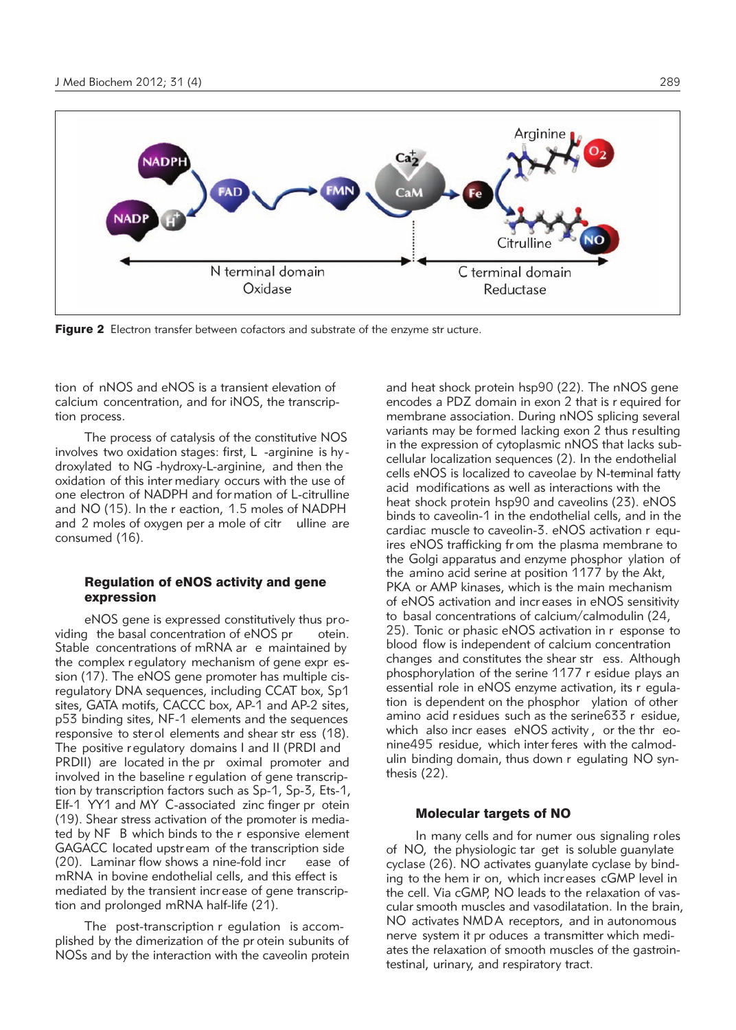

Figure 2 Electron transfer between cofactors and substrate of the enzyme str ucture.

tion of nNOS and eNOS is a transient elevation of calcium concentration, and for iNOS, the transcription process.

The process of catalysis of the constitutive NOS involves two oxidation stages: first, L -arginine is hy dro xylated to NG -hydroxy-L-arginine, and then the oxidation of this inter mediary occurs with the use of one electron of NADPH and for mation of L-citrulline and NO (15). In the r eaction, 1.5 moles of NADPH and 2 moles of oxygen per a mole of citr ulline are consumed (16).

## Regulation of eNOS activity and gene expression

eNOS gene is expressed constitutively thus providing the basal concentration of eNOS pr otein. Stable concentrations of mRNA ar e maintained by the complex r egulatory mechanism of gene expr ession (17). The eNOS gene promoter has multiple cisregulatory DNA sequences, including CCAT box, Sp1 sites, GATA motifs, CACCC box, AP-1 and AP-2 sites, p53 binding sites, NF-1 elements and the sequences responsive to ster ol elements and shear str ess (18). The positive r egulatory domains I and II (PRDI and PRDII) are located in the pr oximal promoter and involved in the baseline r egulation of gene transcription by transcription factors such as Sp-1, Sp-3, Ets-1, Elf-1 YY1 and MY C-associated zinc finger pr otein (19). Shear stress activation of the promoter is mediated by NF B which binds to the r esponsive element GAGACC located upstr eam of the transcription side (20). Laminar flow shows a nine-fold incr ease of mRNA in bovine endothelial cells, and this effect is mediated by the transient incr ease of gene transcription and prolonged mRNA half-life (21).

The post-transcription r egulation is accomplished by the dimerization of the pr otein subunits of NOSs and by the interaction with the caveolin protein

and heat shock protein hsp90 (22). The nNOS gene encodes a PDZ domain in exon 2 that is r equired for membrane association. During nNOS splicing several variants may be formed lacking exon 2 thus resulting in the expression of cytoplasmic nNOS that lacks subcellular localization sequences (2). In the endothelial cells eNOS is localized to caveolae by N-terminal fatty acid modifications as well as interactions with the heat shock protein hsp90 and caveolins (23). eNOS binds to caveolin-1 in the endothelial cells, and in the cardiac muscle to caveolin-3. eNOS activation r equires eNOS trafficking fr om the plasma membrane to the Golgi apparatus and enzyme phosphor ylation of the amino acid serine at position 1177 by the Akt, PKA or AMP kinases, which is the main mechanism of eNOS activation and incr eases in eNOS sensitivity to basal concentrations of calcium/calmodulin (24, 25). Tonic or phasic eNOS activation in r esponse to blood flow is independent of calcium concentration changes and constitutes the shear str ess. Although phosphorylation of the serine 1177 r esidue plays an essential role in eNOS enzyme activation, its r egulation is dependent on the phosphor ylation of other amino acid r esidues such as the serine633 r esidue, which also incr eases eNOS activity , or the thr eonine495 residue, which inter feres with the calmodulin binding domain, thus down r egulating NO synthesis (22).

## Molecular targets of NO

In many cells and for numer ous signaling roles of NO, the physiologic tar get is soluble guanylate cyclase (26). NO activates guanylate cyclase by binding to the hem ir on, which increases cGMP level in the cell. Via cGMP, NO leads to the relaxation of vascular smooth muscles and vasodilatation. In the brain, NO activates NMDA receptors, and in autonomous nerve system it pr oduces a transmitter which mediates the relaxation of smooth muscles of the gastrointestinal, urinary, and respiratory tract.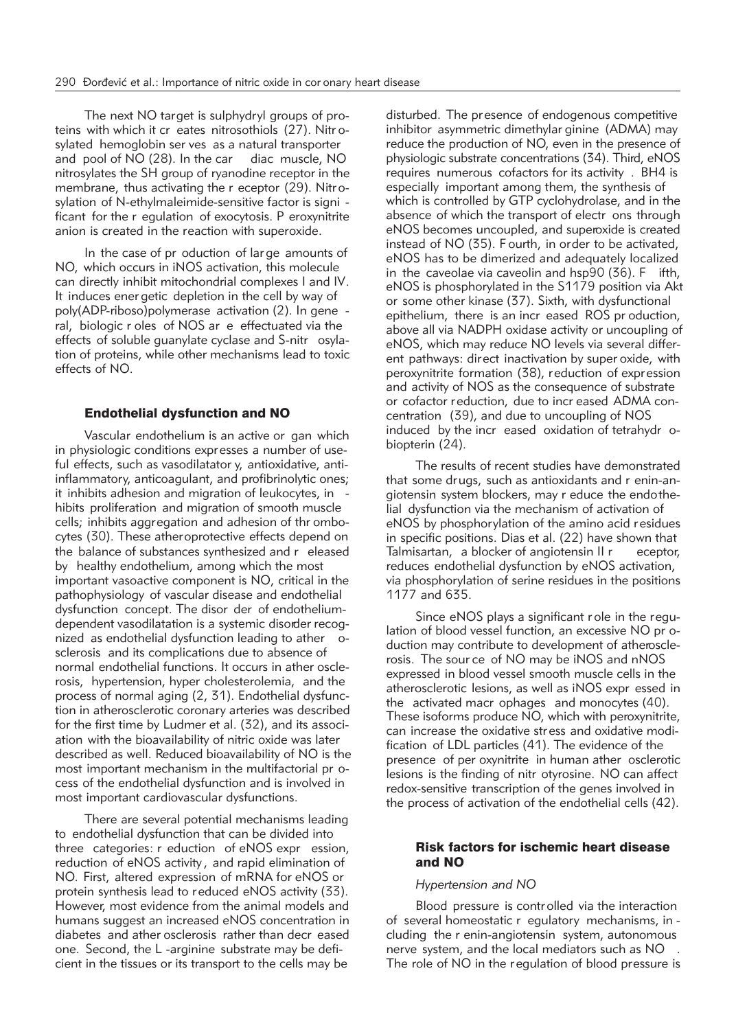The next NO target is sulphydryl groups of proteins with which it cr eates nitrosothiols (27). Nitrosylated hemoglobin ser ves as a natural transporter and pool of NO (28). In the car diac muscle, NO nitrosylates the SH group of ryanodine receptor in the membrane, thus activating the r eceptor (29). Nitrosylation of N-ethylmaleimide-sensitive factor is signi ficant for the r egulation of exocytosis. P eroxynitrite anion is created in the reaction with superoxide.

In the case of pr oduction of lar ge amounts of NO, which occurs in iNOS activation, this molecule can directly inhibit mitochondrial complexes I and IV. It induces ener getic depletion in the cell by way of poly(ADP-riboso)polymerase activation (2). In gene ral, biologic r oles of NOS ar e effectuated via the effects of soluble guanylate cyclase and S-nitr osylation of proteins, while other mechanisms lead to toxic effects of NO.

## Endothelial dysfunction and NO

Vascular endothelium is an active or gan which in physiologic conditions expresses a number of useful effects, such as vasodilatator y, antioxidative, antiinflammatory, anticoagulant, and profibrinolytic ones; it inhibits adhesion and migration of leukocytes, in hibits proliferation and migration of smooth muscle cells; inhibits aggregation and adhesion of thr ombocytes (30). These atheroprotective effects depend on the balance of substances synthesized and r eleased by healthy endothelium, among which the most important vasoactive component is NO, critical in the pathophysiology of vascular disease and endothelial dysfunction concept. The disor der of endotheliumdependent vasodilatation is a systemic disorder recognized as endothelial dysfunction leading to ather osclerosis and its complications due to absence of normal endothelial functions. It occurs in ather osclerosis, hypertension, hyper cholesterolemia, and the process of normal aging (2, 31). Endothelial dysfunction in atherosclerotic coronary arteries was described for the first time by Ludmer et al. (32), and its association with the bioavailability of nitric oxide was later described as well. Reduced bioavailability of NO is the most important mechanism in the multifactorial pr ocess of the endothelial dysfunction and is involved in most important cardiovascular dysfunctions.

There are several potential mechanisms leading to endothelial dysfunction that can be divided into three categories: r eduction of eNOS expr ession, reduction of eNOS activity , and rapid elimination of NO. First, altered expression of mRNA for eNOS or protein synthesis lead to reduced eNOS activity (33). However, most evidence from the animal models and humans suggest an increased eNOS concentration in diabetes and ather osclerosis rather than decr eased one. Second, the L -arginine substrate may be deficient in the tissues or its transport to the cells may be

disturbed. The presence of endogenous competitive inhibitor asymmetric dimethylar ginine (ADMA) may reduce the production of NO, even in the presence of physiologic substrate concentrations (34). Third, eNOS requires numerous cofactors for its activity . BH4 is especially important among them, the synthesis of which is controlled by GTP cyclohydrolase, and in the absence of which the transport of electr ons through eNOS becomes uncoupled, and superoxide is created instead of NO (35). F ourth, in order to be activated, eNOS has to be dimerized and adequately localized in the caveolae via caveolin and hsp90 (36). F ifth, eNOS is phosphorylated in the S1179 position via Akt or some other kinase (37). Sixth, with dysfunctional epithelium, there is an incr eased ROS pr oduction, above all via NADPH oxidase activity or uncoupling of eNOS, which may reduce NO levels via several different pathways: direct inactivation by super oxide, with peroxynitrite formation (38), reduction of expression and activity of NOS as the consequence of substrate or cofactor reduction, due to incr eased ADMA concentration (39), and due to uncoupling of NOS induced by the incr eased oxidation of tetrahydr obiopterin (24).

The results of recent studies have demonstrated that some drugs, such as antioxidants and r enin-angiotensin system blockers, may r educe the endo thelial dysfunction via the mechanism of activation of eNOS by phosphorylation of the amino acid residues in specific positions. Dias et al. (22) have shown that Talmisartan, a blocker of angiotensin II r eceptor, reduces endothelial dysfunction by eNOS activation, via phosphorylation of serine residues in the positions 1177 and 635.

Since eNOS plays a significant r ole in the regulation of blood vessel function, an excessive NO pr oduction may contribute to development of atherosclerosis. The sour ce of NO may be iNOS and nNOS expressed in blood vessel smooth muscle cells in the atherosclerotic lesions, as well as iNOS expr essed in the activated macr ophages and monocytes (40). These isoforms produce NO, which with peroxynitrite, can increase the oxidative str ess and oxidative modification of LDL particles (41). The evidence of the presence of per oxynitrite in human ather osclerotic lesions is the finding of nitr otyrosine. NO can affect redox-sensitive transcription of the genes involved in the process of activation of the endothelial cells (42).

## Risk factors for ischemic heart disease and NO

## *Hypertension and NO*

Blood pressure is contr olled via the interaction of several homeostatic r egulatory mechanisms, in cluding the r enin-angiotensin system, autonomous nerve system, and the local mediators such as NO . The role of NO in the regulation of blood pressure is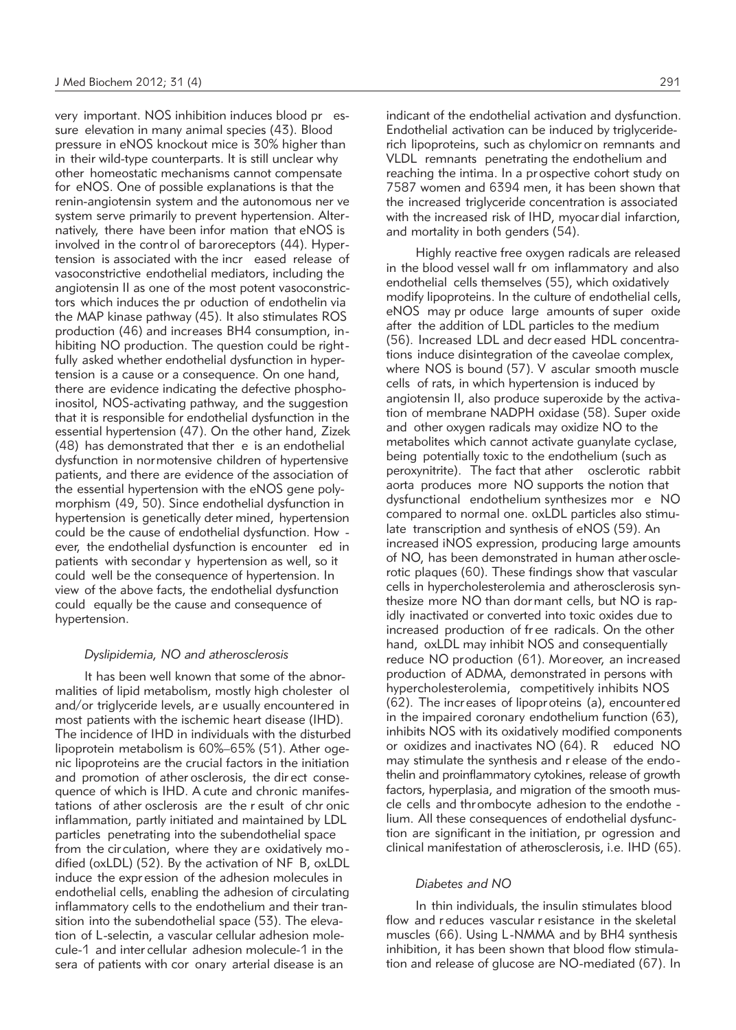very important. NOS inhibition induces blood pr essure elevation in many animal species (43). Blood pressure in eNOS knockout mice is 30% higher than in their wild-type counterparts. It is still unclear why other homeostatic mechanisms cannot compensate for eNOS. One of possible explanations is that the renin-angiotensin system and the autonomous ner ve system serve primarily to prevent hypertension. Alternatively, there have been infor mation that eNOS is involved in the control of baroreceptors (44). Hypertension is associated with the incr eased release of vasoconstrictive endothelial mediators, including the angiotensin II as one of the most potent vasoconstrictors which induces the pr oduction of endothelin via the MAP kinase pathway (45). It also stimulates ROS production (46) and increases BH4 consumption, in hibiting NO production. The question could be right fully asked whether endothelial dysfunction in hypertension is a cause or a consequence. On one hand, there are evidence indicating the defective phosphoinositol, NOS-activating pathway, and the suggestion that it is responsible for endothelial dysfunction in the essential hypertension (47). On the other hand, Zizek (48) has demonstrated that ther e is an endothelial dysfunction in normotensive children of hypertensive patients, and there are evidence of the association of the essential hypertension with the eNOS gene polymorphism (49, 50). Since endothelial dysfunction in hypertension is genetically deter mined, hypertension could be the cause of endothelial dysfunction. How ever, the endothelial dysfunction is encounter ed in patients with secondar y hypertension as well, so it could well be the consequence of hypertension. In view of the above facts, the endothelial dysfunction could equally be the cause and consequence of hypertension.

## *Dyslipidemia, NO and atherosclerosis*

It has been well known that some of the abnormalities of lipid metabolism, mostly high cholester ol and/or triglyceride levels, ar e usually encountered in most patients with the ischemic heart disease (IHD). The incidence of IHD in individuals with the disturbed lipoprotein metabolism is  $60\% - 65\%$  (51). Ather ogenic lipoproteins are the crucial factors in the initiation and promotion of ather osclerosis, the dir ect consequence of which is IHD. A cute and chronic manifestations of ather osclerosis are the r esult of chr onic inflammation, partly initiated and maintained by LDL particles penetrating into the subendothelial space from the circulation, where they are oxidatively mo dified (oxLDL) (52). By the activation of NF B, oxLDL induce the expr ession of the adhesion molecules in endothelial cells, enabling the adhesion of circulating inflammatory cells to the endothelium and their transition into the subendothelial space (53). The elevation of L-selectin, a vascular cellular adhesion molecule-1 and inter cellular adhesion molecule-1 in the sera of patients with cor onary arterial disease is an

indicant of the endothelial activation and dysfunction. Endothelial activation can be induced by triglyceriderich lipoproteins, such as chylomicr on remnants and VLDL remnants penetrating the endothelium and reaching the intima. In a prospective cohort study on 7587 women and 6394 men, it has been shown that the increased triglyceride concentration is associated with the increased risk of IHD, myocar dial infarction,

and mortality in both genders (54).

Highly reactive free oxygen radicals are released in the blood vessel wall fr om inflammatory and also endothelial cells themselves (55), which oxidatively modify lipoproteins. In the culture of endothelial cells, eNOS may pr oduce large amounts of super oxide after the addition of LDL particles to the medium (56). Increased LDL and decr eased HDL concentrations induce disintegration of the caveolae complex, where NOS is bound (57). V ascular smooth muscle cells of rats, in which hypertension is induced by angiotensin II, also produce superoxide by the activation of membrane NADPH oxidase (58). Super oxide and other oxygen radicals may oxidize NO to the metabolites which cannot activate guanylate cyclase, being potentially toxic to the endothelium (such as peroxynitrite). The fact that ather osclerotic rabbit aorta produces more NO supports the notion that dys functional endothelium synthesizes mor e NO compared to normal one. oxLDL particles also stimulate transcription and synthesis of eNOS (59). An increased iNOS expression, producing large amounts of NO, has been demonstrated in human ather osclerotic plaques (60). These findings show that vascular cells in hypercholesterolemia and atherosclerosis synthesize more NO than dor mant cells, but NO is rapidly inactivated or converted into toxic oxides due to increased production of fr ee radicals. On the other hand, oxLDL may inhibit NOS and consequentially reduce NO production (61). Moreover, an increased production of ADMA, demonstrated in persons with hypercholesterolemia, competitively inhibits NOS (62). The increases of lipoproteins (a), encountered in the impaired coronary endothelium function (63), inhibits NOS with its oxidatively modified components or oxidizes and inactivates NO (64). R educed NO may stimulate the synthesis and r elease of the endo thelin and proinflammatory cytokines, release of growth factors, hyperplasia, and migration of the smooth muscle cells and thr ombocyte adhesion to the endothe lium. All these consequences of endothelial dysfunction are significant in the initiation, pr ogression and clinical manifestation of atherosclerosis, i.e. IHD (65).

## *Diabetes and NO*

In thin individuals, the insulin stimulates blood flow and r educes vascular r esistance in the skeletal muscles (66). Using L-NMMA and by BH4 synthesis inhibition, it has been shown that blood flow stimulation and release of glucose are NO-mediated (67). In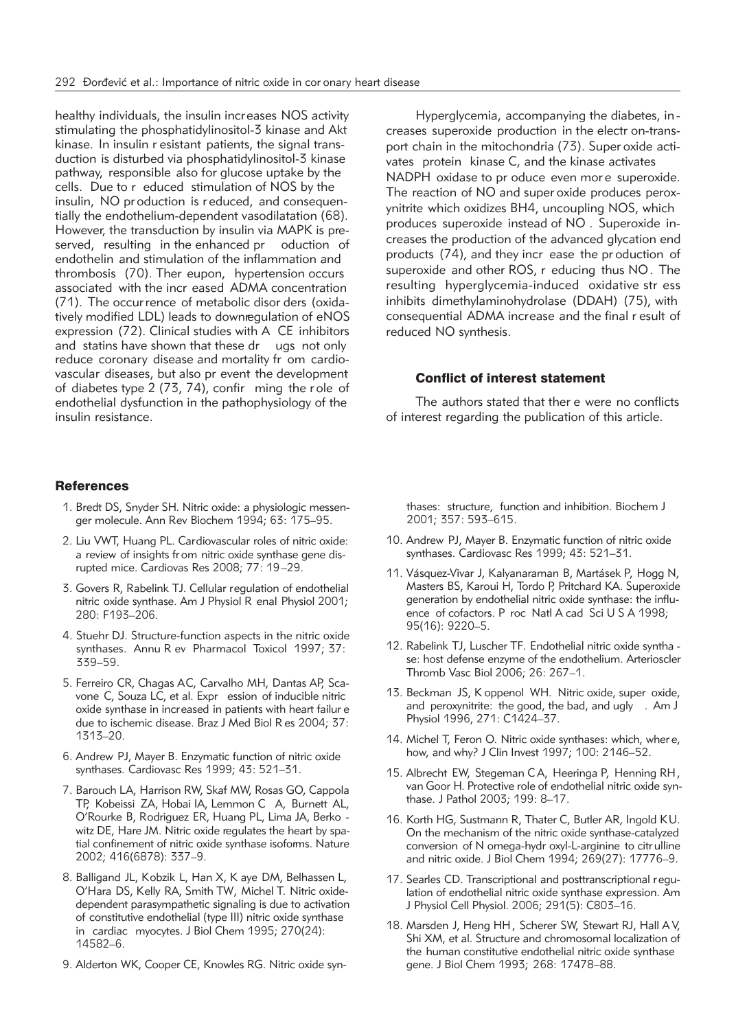healthy individuals, the insulin increases NOS activity stimulating the phosphatidylinositol-3 kinase and Akt kinase. In insulin r esistant patients, the signal transduction is disturbed via phosphatidylinositol-3 kinase pathway, responsible also for glucose uptake by the cells. Due to r educed stimulation of NOS by the insulin, NO pr oduction is r educed, and consequentially the endothelium-dependent vasodilatation (68). However, the transduction by insulin via MAPK is preserved, resulting in the enhanced pr oduction of endothelin and stimulation of the inflammation and thrombosis (70). Ther eupon, hypertension occurs associated with the incr eased ADMA concentration (71). The occur rence of metabolic disor ders (oxidatively modified LDL) leads to downregulation of eNOS expression (72). Clinical studies with A CE inhibitors and statins have shown that these dr ugs not only reduce coronary disease and mortality fr om cardiovascular diseases, but also pr event the development of diabetes type 2 (73, 74), confir ming the r ole of endothelial dysfunction in the pathophysiology of the insulin resistance.

## **References**

- 1. Bredt DS, Snyder SH. Nitric oxide: a physiologic messenger molecule. Ann Rev Biochem 1994; 63: 175–95.
- 2. Liu VWT, Huang PL. Cardiovascular roles of nitric oxide: a review of insights fr om nitric oxide synthase gene disrupted mice. Cardiovas Res 2008; 77: 19–29.
- 3. Govers R, Rabelink TJ. Cellular regulation of endothelial nitric oxide synthase. Am J Physiol R enal Physiol 2001; 280: F193–206.
- 4. Stuehr DJ. Structure-function aspects in the nitric oxide synthases. Annu R ev Pharmacol Toxicol 1997; 37: 339–59.
- 5. Ferreiro CR, Chagas AC, Carvalho MH, Dantas AP, Sca vone C, Souza LC, et al. Expr ession of inducible nitric oxide synthase in increased in patients with heart failur e due to ischemic disease. Braz J Med Biol R es 2004; 37: 1313–20.
- 6. Andrew PJ, Mayer B. Enzymatic function of nitric oxide synthases. Cardiovasc Res 1999; 43: 521–31.
- 7. Barouch LA, Harrison RW, Skaf MW, Rosas GO, Cappola TP, Kobeissi ZA, Hobai IA, Lemmon C A, Burnett AL, O'Rourke B, Rodriguez ER, Huang PL, Lima JA, Berko witz DE, Hare JM. Nitric oxide regulates the heart by spatial confinement of nitric oxide synthase isoforms. Nature 2002; 416(6878): 337–9.
- 8. Balligand JL, Kobzik L, Han X, K aye DM, Belhassen L, O'Hara DS, Kelly RA, Smith TW, Michel T. Nitric oxidedependent parasympathetic signaling is due to activation of constitutive endothelial (type III) nitric oxide synthase in cardiac myocytes. J Biol Chem 1995; 270(24): 14582–6.
- 9. Alderton WK, Cooper CE, Knowles RG. Nitric oxide syn-

Hyperglycemia, accompanying the diabetes, in creases superoxide production in the electr on-transport chain in the mitochondria (73). Super oxide activates protein kinase C, and the kinase activates NADPH oxidase to pr oduce even more superoxide. The reaction of NO and super oxide produces peroxynitrite which oxidizes BH4, uncoupling NOS, which produces superoxide instead of NO . Superoxide increases the production of the advanced glycation end products (74), and they incr ease the pr oduction of superoxide and other ROS, r educing thus NO. The resulting hyperglycemia-induced oxidative str ess inhibits dimethylaminohydrolase (DDAH) (75), with consequential ADMA increase and the final r esult of reduced NO synthesis.

## Conflict of interest statement

The authors stated that ther e were no conflicts of interest regarding the publication of this article.

thases: structure, function and inhibition. Biochem J 2001; 357: 593–615.

- 10. Andrew PJ, Mayer B. Enzymatic function of nitric oxide synthases. Cardiovasc Res 1999; 43: 521–31.
- 11. Vásquez-Vivar J, Kalyanaraman B, Martásek P, Hogg N, Masters BS, Karoui H, Tordo P, Pritchard KA. Superoxide generation by endothelial nitric oxide synthase: the influence of cofactors. P roc Natl A cad Sci U S A 1998; 95(16): 9220–5.
- 12. Rabelink TJ, Luscher TF. Endothelial nitric oxide syntha se: host defense enzyme of the endothelium. Arterioscler Thromb Vasc Biol 2006; 26: 267–1.
- 13. Beckman JS, K oppenol WH. Nitric oxide, super oxide, and peroxynitrite: the good, the bad, and ugly . Am J Physiol 1996, 271: C1424–37.
- 14. Michel T, Feron O. Nitric oxide synthases: which, wher e, how, and why? J Clin Invest 1997; 100: 2146–52.
- 15. Albrecht EW, Stegeman C A, Heeringa P, Henning RH, van Goor H. Protective role of endothelial nitric oxide synthase. J Pathol 2003; 199: 8–17.
- 16. Korth HG, Sustmann R, Thater C, Butler AR, Ingold KU. On the mechanism of the nitric oxide synthase-catalyzed conversion of N omega-hydr oxyl-L-arginine to citr ulline and nitric oxide. J Biol Chem 1994; 269(27): 17776–9.
- 17. Searles CD. Transcriptional and posttranscriptional regulation of endothelial nitric oxide synthase expression. Am J Physiol Cell Physiol. 2006; 291(5): C803–16.
- 18. Marsden J, Heng HH, Scherer SW, Stewart RJ, Hall A V, Shi XM, et al. Structure and chromosomal localization of the human constitutive endothelial nitric oxide synthase gene. J Biol Chem 1993; 268: 17478–88.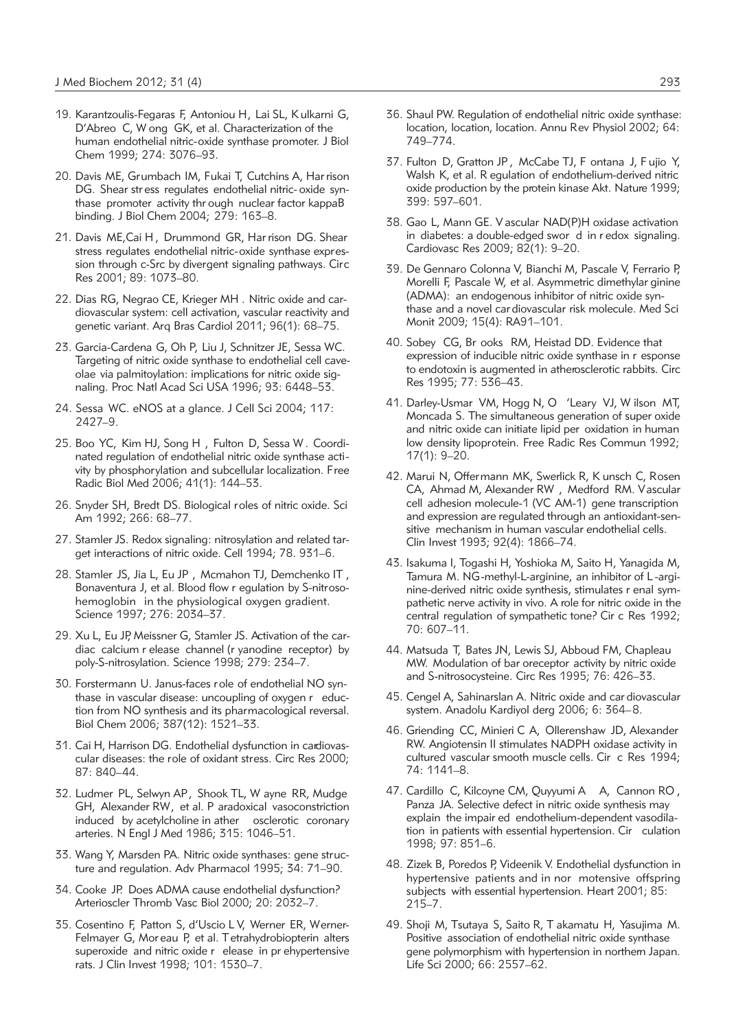- 19. Karantzoulis-Fegaras F, Antoniou H, Lai SL, K ulkarni G, D'Abreo C, W ong GK, et al. Characterization of the human endothelial nitric-oxide synthase promoter. J Biol Chem 1999; 274: 3076–93.
- 20. Davis ME, Grumbach IM, Fukai T, Cutchins A, Har rison DG. Shear str ess regulates endothelial nitric- oxide synthase promoter activity thr ough nuclear factor kappaB binding. J Biol Chem 2004; 279: 163–8.
- 21. Davis ME.Cai H. Drummond GR. Har rison DG. Shear stress regulates endothelial nitric-oxide synthase expression through c-Src by divergent signaling pathways. Circ Res 2001; 89: 1073–80.
- 22. Dias RG, Negrao CE, Krieger MH . Nitric oxide and cardiovascular system: cell activation, vascular reactivity and genetic variant. Arq Bras Cardiol 2011; 96(1): 68–75.
- 23. Garcia-Cardena G, Oh P, Liu J, Schnitzer JE, Sessa WC. Targeting of nitric oxide synthase to endothelial cell caveolae via palmitoylation: implications for nitric oxide signaling. Proc Natl Acad Sci USA 1996; 93: 6448–53.
- 24. Sessa WC. eNOS at a glance. J Cell Sci 2004; 117: 2427–9.
- 25. Boo YC, Kim HJ, Song H, Fulton D, Sessa W. Coordinated regulation of endothelial nitric oxide synthase acti vity by phosphorylation and subcellular localization. Free Radic Biol Med 2006; 41(1): 144–53.
- 26. Snyder SH, Bredt DS. Biological roles of nitric oxide. Sci Am 1992; 266: 68–77.
- 27. Stamler JS. Redox signaling: nitrosylation and related target interactions of nitric oxide. Cell 1994; 78. 931–6.
- 28. Stamler JS, Jia L, Eu JP , Mcmahon TJ, Demchenko IT , Bonaventura J, et al. Blood flow r egulation by S-nitrosohemoglobin in the physiological oxygen gradient. Science 1997; 276: 2034–37.
- 29. Xu L, Eu JP, Meissner G, Stamler JS. Activation of the cardiac calcium r elease channel (r yanodine receptor) by poly-S-nitrosylation. Science 1998; 279: 234–7.
- 30. Forstermann U. Janus-faces role of endothelial NO synthase in vascular disease: uncoupling of oxygen r eduction from NO synthesis and its pharmacological reversal. Biol Chem 2006; 387(12): 1521–33.
- 31. Cai H, Harrison DG. Endothelial dysfunction in cardiovascular diseases: the role of oxidant stress. Circ Res 2000; 87: 840–44.
- 32. Ludmer PL, Selwyn AP, Shook TL, W ayne RR, Mudge GH, Alexander RW, et al. P aradoxical vasoconstriction induced by acetylcholine in ather osclerotic coronary arteries. N Engl J Med 1986; 315: 1046–51.
- 33. Wang Y, Marsden PA. Nitric oxide synthases: gene structure and regulation. Adv Pharmacol 1995; 34: 71–90.
- 34. Cooke JP. Does ADMA cause endothelial dysfunction? Arterioscler Thromb Vasc Biol 2000; 20: 2032–7.
- 35. Cosentino F, Patton S, d'Uscio L V, Werner ER, Werner-Felmayer G, Mor eau P, et al. Tetrahydrobiopterin alters superoxide and nitric oxide r elease in pr ehypertensive rats. J Clin Invest 1998; 101: 1530–7.
- 36. Shaul PW. Regulation of endothelial nitric oxide synthase: location, location, location. Annu Rev Physiol 2002; 64: 749–774.
- 37. Fulton D, Gratton JP , McCabe TJ, F ontana J, F ujio Y, Walsh K, et al. R egulation of endothelium-derived nitric oxide production by the protein kinase Akt. Nature 1999; 399: 597–601.
- 38. Gao L, Mann GE. V ascular NAD(P)H oxidase activation in diabetes: a double-edged swor d in r edox signaling. Cardiovasc Res 2009; 82(1): 9–20.
- 39. De Gennaro Colonna V, Bianchi M, Pascale V, Ferrario P, Morelli F, Pascale W, et al. Asymmetric dimethylar ginine (ADMA): an endogenous inhibitor of nitric oxide synthase and a novel car diovascular risk molecule. Med Sci Monit 2009; 15(4): RA91–101.
- 40. Sobey CG, Br ooks RM, Heistad DD. Evidence that expression of inducible nitric oxide synthase in r esponse to endotoxin is augmented in atherosclerotic rabbits. Circ Res 1995; 77: 536–43.
- 41. Darley-Usmar VM, Hogg N, O 'Leary VJ, W ilson MT, Moncada S. The simultaneous generation of super oxide and nitric oxide can initiate lipid per oxidation in human low density lipoprotein. Free Radic Res Commun 1992; 17(1): 9–20.
- 42. Marui N, Offermann MK, Swerlick R, K unsch C, Rosen CA, Ahmad M, Alexander RW , Medford RM. Vascular cell adhesion molecule-1 (VC AM-1) gene transcription and expression are regulated through an antioxidant-sensitive mechanism in human vascular endothelial cells. Clin Invest 1993; 92(4): 1866–74.
- 43. Isakuma I, Togashi H, Yoshioka M, Saito H, Yanagida M, Tamura M. NG-methyl-L-arginine, an inhibitor of L -arginine-derived nitric oxide synthesis, stimulates r enal sympathetic nerve activity in vivo. A role for nitric oxide in the central regulation of sympathetic tone? Cir c Res 1992; 70: 607–11.
- 44. Matsuda T, Bates JN, Lewis SJ, Abboud FM, Chapleau MW. Modulation of bar oreceptor activity by nitric oxide and S-nitrosocysteine. Circ Res 1995; 76: 426–33.
- 45. Cengel A, Sahinarslan A. Nitric oxide and car diovascular system. Anadolu Kardiyol derg 2006; 6: 364–8.
- 46. Griending CC, Minieri C A, Ollerenshaw JD, Alexander RW. Angiotensin II stimulates NADPH oxidase activity in cultured vascular smooth muscle cells. Cir c Res 1994; 74: 1141–8.
- 47. Cardillo C, Kilcoyne CM, Quyyumi A A, Cannon RO, Panza JA. Selective defect in nitric oxide synthesis may explain the impair ed endothelium-dependent vasodilation in patients with essential hypertension. Cir culation 1998; 97: 851–6.
- 48. Zizek B, Poredos P, Videenik V. Endothelial dysfunction in hypertensive patients and in nor motensive offspring subjects with essential hypertension. Heart 2001; 85: 215–7.
- 49. Shoji M, Tsutaya S, Saito R, T akamatu H, Yasujima M. Positive association of endothelial nitric oxide synthase gene polymorphism with hypertension in northem Japan. Life Sci 2000; 66: 2557–62.